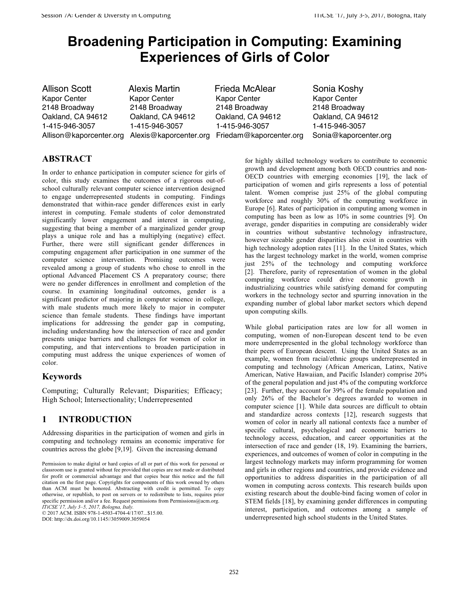# **Broadening Participation in Computing: Examining Experiences of Girls of Color**

Kapor Center Kapor Center Kapor Center

1-415-946-3057 1-415-946-3057 1-415-946-3057 1-415-946-3057

Allison Scott Alexis Martin Frieda McAlear Sonia Koshy 2148 Broadway 2148 Broadway 2148 Broadway 2148 Broadway Oakland, CA 94612 Oakland, CA 94612 Oakland, CA 94612 Oakland, CA 94612 Allison@kaporcenter.org Alexis@kaporcenter.org Friedam@kaporcenter.org Sonia@kaporcenter.org

## **ABSTRACT**

In order to enhance participation in computer science for girls of color, this study examines the outcomes of a rigorous out-ofschool culturally relevant computer science intervention designed to engage underrepresented students in computing. Findings demonstrated that within-race gender differences exist in early interest in computing. Female students of color demonstrated significantly lower engagement and interest in computing, suggesting that being a member of a marginalized gender group plays a unique role and has a multiplying (negative) effect. Further, there were still significant gender differences in computing engagement after participation in one summer of the computer science intervention. Promising outcomes were revealed among a group of students who chose to enroll in the optional Advanced Placement CS A preparatory course; there were no gender differences in enrollment and completion of the course. In examining longitudinal outcomes, gender is a significant predictor of majoring in computer science in college, with male students much more likely to major in computer science than female students. These findings have important implications for addressing the gender gap in computing, including understanding how the intersection of race and gender presents unique barriers and challenges for women of color in computing, and that interventions to broaden participation in computing must address the unique experiences of women of color.

## **Keywords**

Computing; Culturally Relevant; Disparities; Efficacy; High School; Intersectionality; Underrepresented

# **1 INTRODUCTION**

Addressing disparities in the participation of women and girls in computing and technology remains an economic imperative for countries across the globe [9,19]. Given the increasing demand

© 2017 ACM. ISBN 978-1-4503-4704-4/17/07...\$15.00.

DOI: http://dx.doi.org/10.1145//3059009.3059054

for highly skilled technology workers to contribute to economic growth and development among both OECD countries and non-OECD countries with emerging economies [19], the lack of participation of women and girls represents a loss of potential talent. Women comprise just 25% of the global computing workforce and roughly 30% of the computing workforce in Europe [6]. Rates of participation in computing among women in computing has been as low as 10% in some countries [9]. On average, gender disparities in computing are considerably wider in countries without substantive technology infrastructure, however sizeable gender disparities also exist in countries with high technology adoption rates [11]. In the United States, which has the largest technology market in the world, women comprise just 25% of the technology and computing workforce [2]. Therefore, parity of representation of women in the global computing workforce could drive economic growth in industrializing countries while satisfying demand for computing workers in the technology sector and spurring innovation in the expanding number of global labor market sectors which depend upon computing skills.

While global participation rates are low for all women in computing, women of non-European descent tend to be even more underrepresented in the global technology workforce than their peers of European descent. Using the United States as an example, women from racial/ethnic groups underrepresented in computing and technology (African American, Latinx, Native American, Native Hawaiian, and Pacific Islander) comprise 20% of the general population and just 4% of the computing workforce [23]. Further, they account for 39% of the female population and only 26% of the Bachelor's degrees awarded to women in computer science [1]. While data sources are difficult to obtain and standardize across contexts [12], research suggests that women of color in nearly all national contexts face a number of specific cultural, psychological and economic barriers to technology access, education, and career opportunities at the intersection of race and gender (18, 19). Examining the barriers, experiences, and outcomes of women of color in computing in the largest technology markets may inform programming for women and girls in other regions and countries, and provide evidence and opportunities to address disparities in the participation of all women in computing across contexts. This research builds upon existing research about the double-bind facing women of color in STEM fields [18], by examining gender differences in computing interest, participation, and outcomes among a sample of underrepresented high school students in the United States.

Permission to make digital or hard copies of all or part of this work for personal or classroom use is granted without fee provided that copies are not made or distributed for profit or commercial advantage and that copies bear this notice and the full citation on the first page. Copyrights for components of this work owned by others than ACM must be honored. Abstracting with credit is permitted. To copy otherwise, or republish, to post on servers or to redistribute to lists, requires prior specific permission and/or a fee. Request permissions from Permissions@acm.org. *ITiCSE'17, July 3–5, 2017, Bologna, Italy.*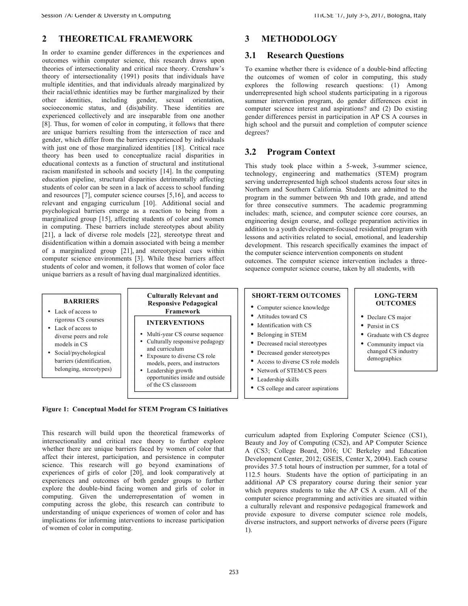#### **2 THEORETICAL FRAMEWORK**

In order to examine gender differences in the experiences and outcomes within computer science, this research draws upon theories of intersectionality and critical race theory. Crenshaw's theory of intersectionality (1991) posits that individuals have multiple identities, and that individuals already marginalized by their racial/ethnic identities may be further marginalized by their other identities, including gender, sexual orientation, socioeconomic status, and (dis)ability. These identities are experienced collectively and are inseparable from one another [8]. Thus, for women of color in computing, it follows that there are unique barriers resulting from the intersection of race and gender, which differ from the barriers experienced by individuals with just one of those marginalized identities [18]. Critical race theory has been used to conceptualize racial disparities in educational contexts as a function of structural and institutional racism manifested in schools and society [14]. In the computing education pipeline, structural disparities detrimentally affecting students of color can be seen in a lack of access to school funding and resources [7], computer science courses [5,16], and access to relevant and engaging curriculum [10]. Additional social and psychological barriers emerge as a reaction to being from a marginalized group [15], affecting students of color and women in computing. These barriers include stereotypes about ability [21], a lack of diverse role models [22], stereotype threat and disidentification within a domain associated with being a member of a marginalized group [21], and stereotypical cues within computer science environments [3]. While these barriers affect students of color and women, it follows that women of color face unique barriers as a result of having dual marginalized identities.

## **3 METHODOLOGY**

#### **3.1 Research Questions**

To examine whether there is evidence of a double-bind affecting the outcomes of women of color in computing, this study explores the following research questions: (1) Among underrepresented high school students participating in a rigorous summer intervention program, do gender differences exist in computer science interest and aspirations? and (2) Do existing gender differences persist in participation in AP CS A courses in high school and the pursuit and completion of computer science degrees?

## **3.2 Program Context**

This study took place within a 5-week, 3-summer science, technology, engineering and mathematics (STEM) program serving underrepresented high school students across four sites in Northern and Southern California. Students are admitted to the program in the summer between 9th and 10th grade, and attend for three consecutive summers. The academic programming includes: math, science, and computer science core courses, an engineering design course, and college preparation activities in addition to a youth development-focused residential program with lessons and activities related to social, emotional, and leadership development. This research specifically examines the impact of the computer science intervention components on student outcomes. The computer science intervention includes a threesequence computer science course, taken by all students, with



**Figure 1: Conceptual Model for STEM Program CS Initiatives** 

This research will build upon the theoretical frameworks of intersectionality and critical race theory to further explore whether there are unique barriers faced by women of color that affect their interest, participation, and persistence in computer science. This research will go beyond examinations of experiences of girls of color [20], and look comparatively at experiences and outcomes of both gender groups to further explore the double-bind facing women and girls of color in computing. Given the underrepresentation of women in computing across the globe, this research can contribute to understanding of unique experiences of women of color and has implications for informing interventions to increase participation of women of color in computing.

curriculum adapted from Exploring Computer Science (CS1), Beauty and Joy of Computing (CS2), and AP Computer Science A (CS3; College Board, 2016; UC Berkeley and Education Development Center, 2012; GSEIS, Center X, 2004). Each course provides 37.5 total hours of instruction per summer, for a total of 112.5 hours. Students have the option of participating in an additional AP CS preparatory course during their senior year which prepares students to take the AP CS A exam. All of the computer science programming and activities are situated within a culturally relevant and responsive pedagogical framework and provide exposure to diverse computer science role models, diverse instructors, and support networks of diverse peers (Figure 1).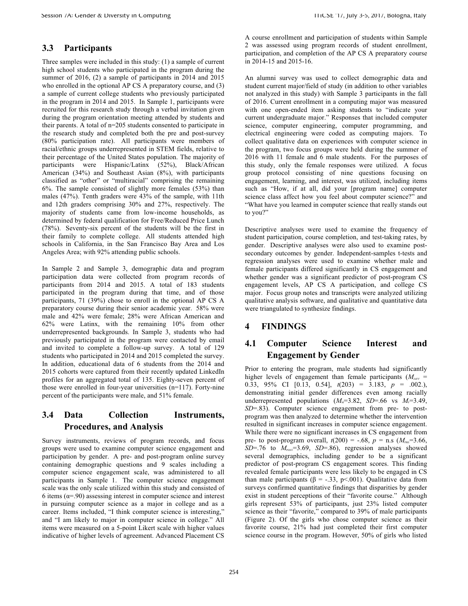#### **3.3 Participants**

Three samples were included in this study: (1) a sample of current high school students who participated in the program during the summer of 2016, (2) a sample of participants in 2014 and 2015 who enrolled in the optional AP CS A preparatory course, and (3) a sample of current college students who previously participated in the program in 2014 and 2015. In Sample 1, participants were recruited for this research study through a verbal invitation given during the program orientation meeting attended by students and their parents. A total of n=205 students consented to participate in the research study and completed both the pre and post-survey (80% participation rate). All participants were members of racial/ethnic groups underrepresented in STEM fields, relative to their percentage of the United States population. The majority of participants were Hispanic/Latinx (52%), Black/African American (34%) and Southeast Asian (8%), with participants classified as "other" or "multiracial" comprising the remaining 6%. The sample consisted of slightly more females (53%) than males (47%). Tenth graders were 43% of the sample, with 11th and 12th graders comprising 30% and 27%, respectively. The majority of students came from low-income households, as determined by federal qualification for Free/Reduced Price Lunch (78%). Seventy-six percent of the students will be the first in their family to complete college. All students attended high schools in California, in the San Francisco Bay Area and Los Angeles Area; with 92% attending public schools.

In Sample 2 and Sample 3, demographic data and program participation data were collected from program records of participants from 2014 and 2015. A total of 183 students participated in the program during that time, and of those participants, 71 (39%) chose to enroll in the optional AP CS A preparatory course during their senior academic year. 58% were male and 42% were female; 28% were African American and 62% were Latinx, with the remaining 10% from other underrepresented backgrounds. In Sample 3, students who had previously participated in the program were contacted by email and invited to complete a follow-up survey. A total of 129 students who participated in 2014 and 2015 completed the survey. In addition, educational data of 6 students from the 2014 and 2015 cohorts were captured from their recently updated LinkedIn profiles for an aggregated total of 135. Eighty-seven percent of those were enrolled in four-year universities (n=117). Forty-nine percent of the participants were male, and 51% female.

## **3.4 Data Collection Instruments, Procedures, and Analysis**

Survey instruments, reviews of program records, and focus groups were used to examine computer science engagement and participation by gender. A pre- and post-program online survey containing demographic questions and 9 scales including a computer science engagement scale, was administered to all participants in Sample 1. The computer science engagement scale was the only scale utilized within this study and consisted of 6 items ( $\alpha$ =.90) assessing interest in computer science and interest in pursuing computer science as a major in college and as a career. Items included, "I think computer science is interesting," and "I am likely to major in computer science in college." All items were measured on a 5-point Likert scale with higher values indicative of higher levels of agreement. Advanced Placement CS

A course enrollment and participation of students within Sample 2 was assessed using program records of student enrollment, participation, and completion of the AP CS A preparatory course in 2014-15 and 2015-16.

An alumni survey was used to collect demographic data and student current major/field of study (in addition to other variables not analyzed in this study) with Sample 3 participants in the fall of 2016. Current enrollment in a computing major was measured with one open-ended item asking students to "indicate your current undergraduate major." Responses that included computer science, computer engineering, computer programming, and electrical engineering were coded as computing majors. To collect qualitative data on experiences with computer science in the program, two focus groups were held during the summer of 2016 with 11 female and 6 male students. For the purposes of this study, only the female responses were utilized. A focus group protocol consisting of nine questions focusing on engagement, learning, and interest, was utilized, including items such as "How, if at all, did your [program name] computer science class affect how you feel about computer science?" and "What have you learned in computer science that really stands out to you?"

Descriptive analyses were used to examine the frequency of student participation, course completion, and test-taking rates, by gender. Descriptive analyses were also used to examine postsecondary outcomes by gender. Independent-samples t-tests and regression analyses were used to examine whether male and female participants differed significantly in CS engagement and whether gender was a significant predictor of post-program CS engagement levels, AP CS A participation, and college CS major. Focus group notes and transcripts were analyzed utilizing qualitative analysis software, and qualitative and quantitative data were triangulated to synthesize findings.

# **4 FINDINGS**

# **4.1 Computer Science Interest and Engagement by Gender**

Prior to entering the program, male students had significantly higher levels of engagement than female participants  $(M_{\text{diff}} =$ 0.33, 95% CI [0.13, 0.54], *t*(203) = 3.183, *p* = .002.), demonstrating initial gender differences even among racially underrepresented populations  $(M<sub>M</sub>=3.82, SD=.66$  vs  $M<sub>F</sub>=3.49$ , *SD*=.83). Computer science engagement from pre- to postprogram was then analyzed to determine whether the intervention resulted in significant increases in computer science engagement. While there were no significant increases in CS engagement from pre- to post-program overall,  $t(200) = -.68$ ,  $p = n.s$  ( $M_{\text{per}}=3.66$ ,  $SD = .76$  to  $M_{\text{post}} = 3.69$ ,  $SD = .86$ ), regression analyses showed several demographics, including gender to be a significant predictor of post-program CS engagement scores. This finding revealed female participants were less likely to be engaged in CS than male participants ( $β = -.33, p < .001$ ). Qualitative data from surveys confirmed quantitative findings that disparities by gender exist in student perceptions of their "favorite course." Although girls represent 53% of participants, just 23% listed computer science as their "favorite," compared to 39% of male participants (Figure 2). Of the girls who chose computer science as their favorite course, 21% had just completed their first computer science course in the program. However, 50% of girls who listed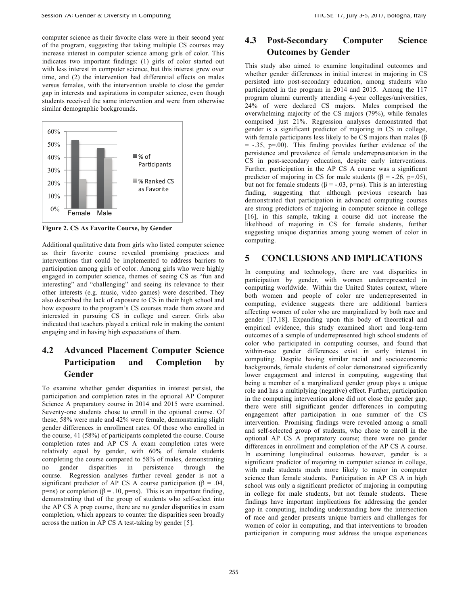computer science as their favorite class were in their second year of the program, suggesting that taking multiple CS courses may increase interest in computer science among girls of color. This indicates two important findings: (1) girls of color started out with less interest in computer science, but this interest grew over time, and (2) the intervention had differential effects on males versus females, with the intervention unable to close the gender gap in interests and aspirations in computer science, even though students received the same intervention and were from otherwise similar demographic backgrounds.



**Figure 2. CS As Favorite Course, by Gender** 

Additional qualitative data from girls who listed computer science as their favorite course revealed promising practices and interventions that could be implemented to address barriers to participation among girls of color. Among girls who were highly engaged in computer science, themes of seeing CS as "fun and interesting" and "challenging" and seeing its relevance to their other interests (e.g. music, video games) were described. They also described the lack of exposure to CS in their high school and how exposure to the program's CS courses made them aware and interested in pursuing CS in college and career. Girls also indicated that teachers played a critical role in making the content engaging and in having high expectations of them.

# **4.2 Advanced Placement Computer Science Participation and Completion by Gender**

To examine whether gender disparities in interest persist, the participation and completion rates in the optional AP Computer Science A preparatory course in 2014 and 2015 were examined. Seventy-one students chose to enroll in the optional course. Of these, 58% were male and 42% were female, demonstrating slight gender differences in enrollment rates. Of those who enrolled in the course, 41 (58%) of participants completed the course. Course completion rates and AP CS A exam completion rates were relatively equal by gender, with 60% of female students completing the course compared to 58% of males, demonstrating no gender disparities in persistence through the course. Regression analyses further reveal gender is not a significant predictor of AP CS A course participation ( $\beta = .04$ , p=ns) or completion (β = .10, p=ns). This is an important finding, demonstrating that of the group of students who self-select into the AP CS A prep course, there are no gender disparities in exam completion, which appears to counter the disparities seen broadly across the nation in AP CS A test-taking by gender [5].

## **4.3 Post-Secondary Computer Science Outcomes by Gender**

This study also aimed to examine longitudinal outcomes and whether gender differences in initial interest in majoring in CS persisted into post-secondary education, among students who participated in the program in 2014 and 2015. Among the 117 program alumni currently attending 4-year colleges/universities, 24% of were declared CS majors. Males comprised the overwhelming majority of the CS majors (79%), while females comprised just 21%. Regression analyses demonstrated that gender is a significant predictor of majoring in CS in college, with female participants less likely to be CS majors than males (β  $= -0.35$ , p=.00). This finding provides further evidence of the persistence and prevalence of female underrepresentation in the CS in post-secondary education, despite early interventions. Further, participation in the AP CS A course was a significant predictor of majoring in CS for male students ( $\beta$  = -.26, p=.05), but not for female students (β = -.03, p=ns). This is an interesting finding, suggesting that although previous research has demonstrated that participation in advanced computing courses are strong predictors of majoring in computer science in college [16], in this sample, taking a course did not increase the likelihood of majoring in CS for female students, further suggesting unique disparities among young women of color in computing.

#### **5 CONCLUSIONS AND IMPLICATIONS**

In computing and technology, there are vast disparities in participation by gender, with women underrepresented in computing worldwide. Within the United States context, where both women and people of color are underrepresented in computing, evidence suggests there are additional barriers affecting women of color who are marginalized by both race and gender [17,18]. Expanding upon this body of theoretical and empirical evidence, this study examined short and long-term outcomes of a sample of underrepresented high school students of color who participated in computing courses, and found that within-race gender differences exist in early interest in computing. Despite having similar racial and socioeconomic backgrounds, female students of color demonstrated significantly lower engagement and interest in computing, suggesting that being a member of a marginalized gender group plays a unique role and has a multiplying (negative) effect. Further, participation in the computing intervention alone did not close the gender gap; there were still significant gender differences in computing engagement after participation in one summer of the CS intervention. Promising findings were revealed among a small and self-selected group of students, who chose to enroll in the optional AP CS A preparatory course; there were no gender differences in enrollment and completion of the AP CS A course. In examining longitudinal outcomes however, gender is a significant predictor of majoring in computer science in college, with male students much more likely to major in computer science than female students. Participation in AP CS A in high school was only a significant predictor of majoring in computing in college for male students, but not female students. These findings have important implications for addressing the gender gap in computing, including understanding how the intersection of race and gender presents unique barriers and challenges for women of color in computing, and that interventions to broaden participation in computing must address the unique experiences